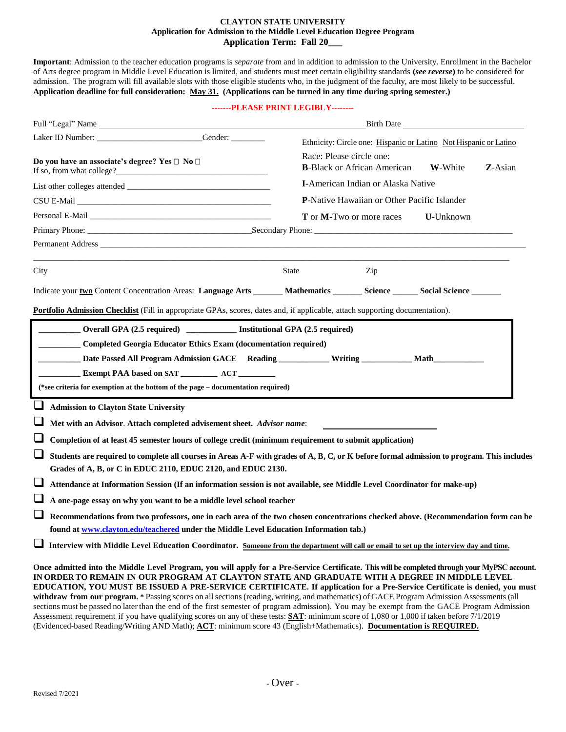# **CLAYTON STATE UNIVERSITY Application for Admission to the Middle Level Education Degree Program Application Term: Fall 20\_\_\_**

**Important**: Admission to the teacher education programs is *separate* from and in addition to admission to the University. Enrollment in the Bachelor of Arts degree program in Middle Level Education is limited, and students must meet certain eligibility standards **(***see reverse***)** to be considered for admission. The program will fill available slots with those eligible students who, in the judgment of the faculty, are most likely to be successful. **Application deadline for full consideration: May 31. (Applications can be turned in any time during spring semester.)** 

## **-------PLEASE PRINT LEGIBLY--------**

| Full "Legal" Name                                                                                                                                                                                                                                                                                                                                                                                  | Birth Date and the state of the state of the state of the state of the state of the state of the state of the state of the state of the state of the state of the state of the state of the state of the state of the state of                                                                                                                                                                                                                                                                                            |
|----------------------------------------------------------------------------------------------------------------------------------------------------------------------------------------------------------------------------------------------------------------------------------------------------------------------------------------------------------------------------------------------------|---------------------------------------------------------------------------------------------------------------------------------------------------------------------------------------------------------------------------------------------------------------------------------------------------------------------------------------------------------------------------------------------------------------------------------------------------------------------------------------------------------------------------|
|                                                                                                                                                                                                                                                                                                                                                                                                    | Ethnicity: Circle one: Hispanic or Latino Not Hispanic or Latino                                                                                                                                                                                                                                                                                                                                                                                                                                                          |
| Do you have an associate's degree? Yes □ No □                                                                                                                                                                                                                                                                                                                                                      | Race: Please circle one:<br><b>B-Black or African American</b><br>W-White<br>Z-Asian                                                                                                                                                                                                                                                                                                                                                                                                                                      |
|                                                                                                                                                                                                                                                                                                                                                                                                    | <b>I-American Indian or Alaska Native</b>                                                                                                                                                                                                                                                                                                                                                                                                                                                                                 |
|                                                                                                                                                                                                                                                                                                                                                                                                    | P-Native Hawaiian or Other Pacific Islander                                                                                                                                                                                                                                                                                                                                                                                                                                                                               |
| Personal E-Mail Department of the Contract of the Contract of the Contract of the Contract of the Contract of the Contract of the Contract of the Contract of the Contract of the Contract of the Contract of the Contract of                                                                                                                                                                      | T or M-Two or more races<br>U-Unknown                                                                                                                                                                                                                                                                                                                                                                                                                                                                                     |
|                                                                                                                                                                                                                                                                                                                                                                                                    |                                                                                                                                                                                                                                                                                                                                                                                                                                                                                                                           |
|                                                                                                                                                                                                                                                                                                                                                                                                    |                                                                                                                                                                                                                                                                                                                                                                                                                                                                                                                           |
| City                                                                                                                                                                                                                                                                                                                                                                                               | <b>State</b><br>Zip                                                                                                                                                                                                                                                                                                                                                                                                                                                                                                       |
|                                                                                                                                                                                                                                                                                                                                                                                                    | Indicate your two Content Concentration Areas: Language Arts ______ Mathematics ______ Science _____ Social Science ______                                                                                                                                                                                                                                                                                                                                                                                                |
| (*see criteria for exemption at the bottom of the page - documentation required)                                                                                                                                                                                                                                                                                                                   |                                                                                                                                                                                                                                                                                                                                                                                                                                                                                                                           |
| ⊔<br><b>Admission to Clayton State University</b><br>⊔<br>Met with an Advisor. Attach completed advisement sheet. Advisor name:<br>⊔<br>⊔<br>Grades of A, B, or C in EDUC 2110, EDUC 2120, and EDUC 2130.<br>$\sqcup$<br>A one-page essay on why you want to be a middle level school teacher<br>$\sqcup$<br>found at www.clayton.edu/teachered under the Middle Level Education Information tab.) | Completion of at least 45 semester hours of college credit (minimum requirement to submit application)<br>Students are required to complete all courses in Areas A-F with grades of A, B, C, or K before formal admission to program. This includes<br>Attendance at Information Session (If an information session is not available, see Middle Level Coordinator for make-up)<br>Recommendations from two professors, one in each area of the two chosen concentrations checked above. (Recommendation form can be      |
|                                                                                                                                                                                                                                                                                                                                                                                                    | Interview with Middle Level Education Coordinator. Someone from the department will call or email to set up the interview day and time.                                                                                                                                                                                                                                                                                                                                                                                   |
|                                                                                                                                                                                                                                                                                                                                                                                                    | Once admitted into the Middle Level Program, you will apply for a Pre-Service Certificate. This will be completed through your MyPSC account.<br>IN ORDER TO REMAIN IN OUR PROGRAM AT CLAYTON STATE AND GRADUATE WITH A DEGREE IN MIDDLE LEVEL<br>EDUCATION, YOU MUST BE ISSUED A PRE-SERVICE CERTIFICATE. If application for a Pre-Service Certificate is denied, you must<br>withdraw from our program. * Passing scores on all sections (reading, writing, and mathematics) of GACE Program Admission Assessments (all |

sections must be passed no later than the end of the first semester of program admission). You may be exempt from the GACE Program Admission Assessment requirement if you have qualifying scores on any of these tests: **SAT**: minimum score of 1,080 or 1,000 if taken before 7/1/2019 (Evidenced-based Reading/Writing AND Math); **ACT**: minimum score 43 (English+Mathematics). **Documentation is REQUIRED.**